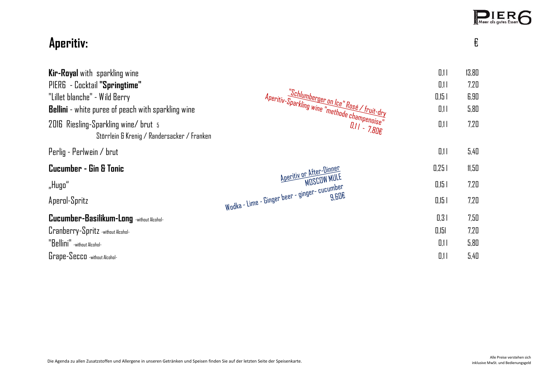|                                                                                     |                                                                                                                       |          | PIERG |  |
|-------------------------------------------------------------------------------------|-----------------------------------------------------------------------------------------------------------------------|----------|-------|--|
| Aperitiv:                                                                           |                                                                                                                       |          | €     |  |
| Kir-Royal with sparkling wine                                                       |                                                                                                                       | 0.11     | 13,80 |  |
| PIER6 - Cocktail "Springtime"                                                       |                                                                                                                       | 0.11     | 7,20  |  |
| "Lillet blanche" - Wild Berry                                                       |                                                                                                                       | $0.15$ I | 6,90  |  |
| <b>Bellini</b> - white puree of peach with sparkling wine                           |                                                                                                                       | 0.11     | 5,80  |  |
| 2016 Riesling-Sparkling wine/ brut 5<br>Störrlein & Krenig / Randersacker / Franken | "Schlumberger on Ice" Rosé / fruit-dry"<br>"Aperitiv-Sparkling wine "methode champenise"<br>" cree"<br>$0.11 - 7.80E$ | 0.11     | 7.20  |  |
| Perlig - Perlwein / brut                                                            |                                                                                                                       | 0.11     | 5,40  |  |
| Cucumber - Gin & Tonic                                                              |                                                                                                                       | 0.251    | 11,50 |  |
| "Hugo"                                                                              | <u>Aperitiv or After-Dinner</u><br>MDSCOW MULE                                                                        | $0.15$ I | 7,20  |  |
| Aperol-Spritz                                                                       | Wodka - Lime - Ginger beer - ginger- cucumber                                                                         | $0.15$ I | 7,20  |  |
| Cucumber-Basilikum-Long -without Alcohol-                                           |                                                                                                                       | 0.31     | 7,50  |  |
| Cranberry-Spritz -without Alcohol-                                                  |                                                                                                                       | 0.151    | 7,20  |  |
| "Bellini" - without Alcohol-                                                        |                                                                                                                       | 0.11     | 5,80  |  |
| Grape-Secco -without Alcohol-                                                       |                                                                                                                       | 0,11     | 5,40  |  |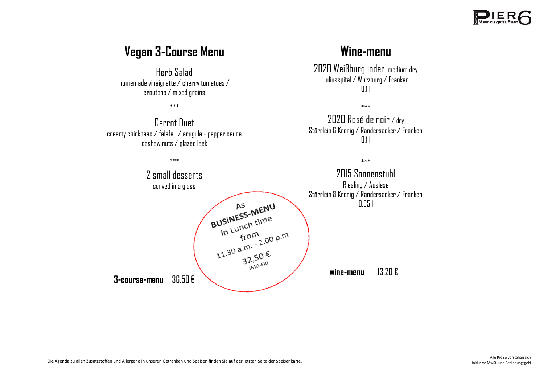

#### **Vegan 3-Course Menu**

Herb Salad homemade vinaigrette / cherry tomatoes / croutons / mixed grains

\*\*\*

Carrot Duet creamy chickpeas / falafel / arugula - pepper sauce cashew nuts / glazed leek

#### **Wine-menu**

2020 Weißburgunder medium dry Juliusspital / Würzburg / Franken  $\overline{111}$ 

\*\*\*

2020 Rosé de noir / dry Störrlein & Krenig / Randersacker / Franken  $0.11$ 

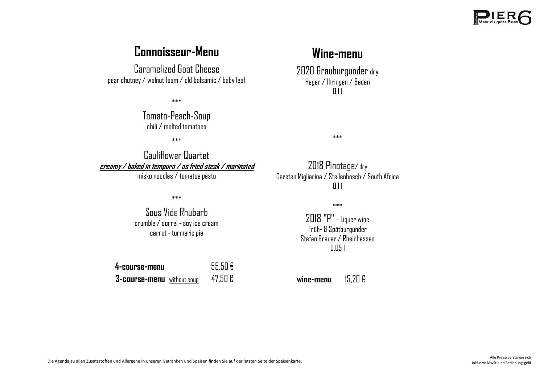

### **Connoisseur-Menu**

Caramelized Goat Cheese pear chutney / walnut foam / old balsamic / baby leaf

\*\*\*

Tomato-Peach-Soup chili / melted tomatoes

\*\*\*

Cauliflower Quartet **creamy / baked in tempura / as fried steak / marinated**  misko noodles / tomatoe pesto

\*\*\*

Sous Vide Rhubarb crumble / sorrel - soy ice cream carrot - turmeric pie

**4-course-menu** 55,50 € **3-course-menu** without soup 47,50 €

## **Wine-menu**

2020 Grauburgunder dry Heger / Ihringen / Baden  $0.11$ 

\*\*\*

2018 Pinotage/ dry Carsten Migliarina / Stellenbosch / South Africa  $0.11$ 

\*\*\*

2018 "P" - Liquer wine Früh- & Spätburgunder Stefan Breuer / Rheinhessen 0,05 l

**wine-menu** 15,20 €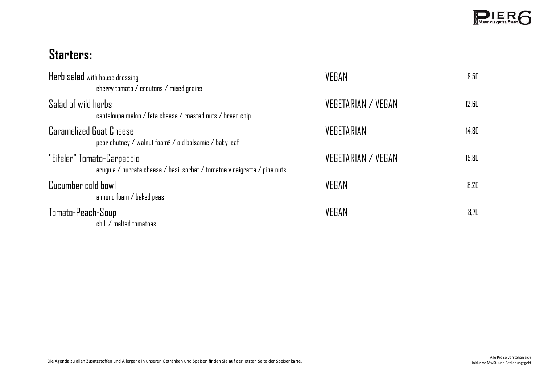

# **Starters:**

| Herb salad with house dressing<br>cherry tomato $\sqrt{c}$ croutons $\sqrt{c}$ mixed grains             | VEGAN              | 8.50  |
|---------------------------------------------------------------------------------------------------------|--------------------|-------|
| Salad of wild herbs<br>cantaloupe melon / feta cheese / roasted nuts / bread chip                       | VEGETARIAN / VEGAN | 12.60 |
| <b>Caramelized Goat Cheese</b><br>pear chutney / walnut foams / old balsamic / baby leaf                | VEGETARIAN         | 14.80 |
| "Eifeler" Tomato-Carpaccio<br>arugula / burrata cheese / basil sorbet / tomatoe vinaigrette / pine nuts | VEGETARIAN / VEGAN | 15.80 |
| Cucumber cold bowl<br>almond foam / baked peas                                                          | VEGAN              | 8.20  |
| Tomato-Peach-Soup<br>chili / melted tomatoes                                                            | VEGAN              | 8.70  |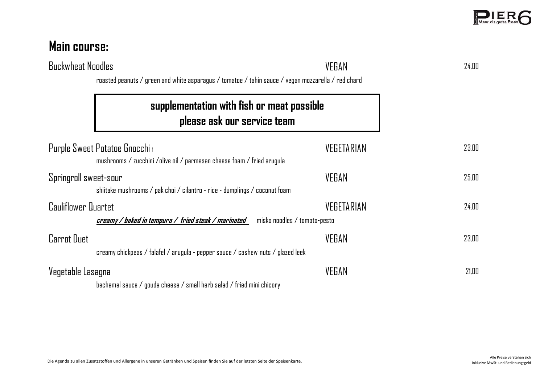| <b>Buckwheat Noodles</b> | roasted peanuts / green and white asparagus / tomatoe / tahin sauce / vegan mozzarella / red chard     | VEGAN      | 24.00 |
|--------------------------|--------------------------------------------------------------------------------------------------------|------------|-------|
|                          | supplementation with fish or meat possible<br>please ask our service team                              |            |       |
|                          | Purple Sweet Potatoe Gnocchi<br>mushrooms / zucchini /olive oil / parmesan cheese foam / fried arugula | VEGETARIAN | 23.00 |
| Springroll sweet-sour    | shiitake mushrooms / pak choi / cilantro - rice - dumplings / coconut foam                             | VEGAN      | 25.00 |
| Cauliflower Quartet      | creamy / baked in tempura / fried steak / marinated<br>misko noodles / tomato-pesto                    | VEGETARIAN | 24.00 |
| <b>Carrot Duet</b>       | creamy chickpeas / falafel / arugula - pepper sauce / cashew nuts / glazed leek                        | VEGAN      | 23.00 |
| Vegetable Lasagna        | bechamel sauce / gouda cheese / small herb salad / fried mini chicory                                  | VEGAN      | 21.00 |

**Main course:**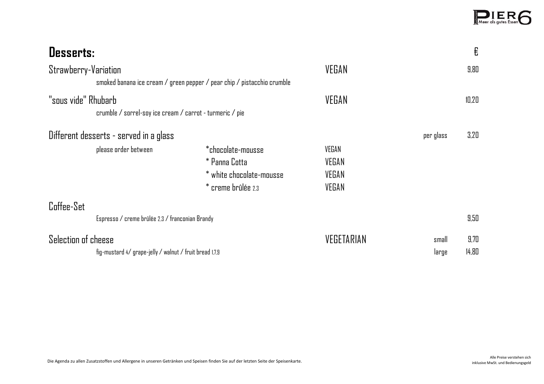| <b>Desserts:</b>                                                                                |                                                                                      |                                  |                | €             |
|-------------------------------------------------------------------------------------------------|--------------------------------------------------------------------------------------|----------------------------------|----------------|---------------|
| Strawberry-Variation<br>smoked banana ice cream / green pepper / pear chip / pistacchio crumble |                                                                                      | VEGAN                            |                | 9.80          |
| "sous vide" Rhubarb<br>crumble / sorrel-soy ice cream / carrot - turmeric / pie                 |                                                                                      | VEGAN                            |                | 10.20         |
| Different desserts - served in a glass                                                          |                                                                                      |                                  | per glass      | 3.20          |
| please order between                                                                            | *chocolate-mousse<br>* Panna Cotta<br>* white chocolate-mousse<br>* creme brûlée 2.3 | VEGAN<br>VEGAN<br>VEGAN<br>VEGAN |                |               |
| Coffee-Set<br>Espresso / creme brûlée 2,3 / franconian Brandy                                   |                                                                                      |                                  |                | 9.50          |
| Selection of cheese<br>fig-mustard 4/ grape-jelly / walnut / fruit bread 1.7.9                  |                                                                                      | VEGETARIAN                       | small<br>large | 9.70<br>14.80 |